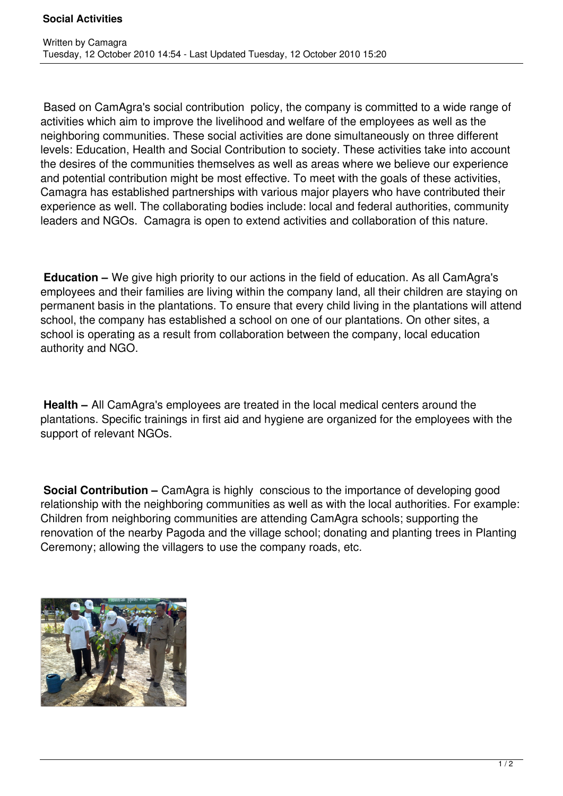Based on CamAgra's social contribution policy, the company is committed to a wide range of activities which aim to improve the livelihood and welfare of the employees as well as the neighboring communities. These social activities are done simultaneously on three different levels: Education, Health and Social Contribution to society. These activities take into account the desires of the communities themselves as well as areas where we believe our experience and potential contribution might be most effective. To meet with the goals of these activities, Camagra has established partnerships with various major players who have contributed their experience as well. The collaborating bodies include: local and federal authorities, community leaders and NGOs. Camagra is open to extend activities and collaboration of this nature.

**Education –** We give high priority to our actions in the field of education. As all CamAgra's employees and their families are living within the company land, all their children are staying on permanent basis in the plantations. To ensure that every child living in the plantations will attend school, the company has established a school on one of our plantations. On other sites, a school is operating as a result from collaboration between the company, local education authority and NGO.

**Health –** All CamAgra's employees are treated in the local medical centers around the plantations. Specific trainings in first aid and hygiene are organized for the employees with the support of relevant NGOs.

**Social Contribution –** CamAgra is highly conscious to the importance of developing good relationship with the neighboring communities as well as with the local authorities. For example: Children from neighboring communities are attending CamAgra schools; supporting the renovation of the nearby Pagoda and the village school; donating and planting trees in Planting Ceremony; allowing the villagers to use the company roads, etc.